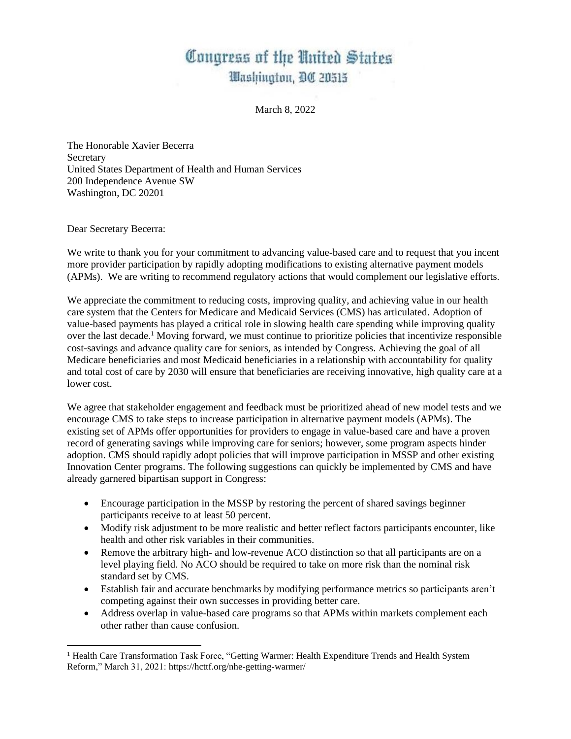## Congress of the United States Washington, DC 20515

March 8, 2022

The Honorable Xavier Becerra **Secretary** United States Department of Health and Human Services 200 Independence Avenue SW Washington, DC 20201

Dear Secretary Becerra:

We write to thank you for your commitment to advancing value-based care and to request that you incent more provider participation by rapidly adopting modifications to existing alternative payment models (APMs). We are writing to recommend regulatory actions that would complement our legislative efforts.

We appreciate the commitment to reducing costs, improving quality, and achieving value in our health care system that the Centers for Medicare and Medicaid Services (CMS) has articulated. Adoption of value-based payments has played a critical role in slowing health care spending while improving quality over the last decade.<sup>1</sup> Moving forward, we must continue to prioritize policies that incentivize responsible cost-savings and advance quality care for seniors, as intended by Congress. Achieving the goal of all Medicare beneficiaries and most Medicaid beneficiaries in a relationship with accountability for quality and total cost of care by 2030 will ensure that beneficiaries are receiving innovative, high quality care at a lower cost.

We agree that stakeholder engagement and feedback must be prioritized ahead of new model tests and we encourage CMS to take steps to increase participation in alternative payment models (APMs). The existing set of APMs offer opportunities for providers to engage in value-based care and have a proven record of generating savings while improving care for seniors; however, some program aspects hinder adoption. CMS should rapidly adopt policies that will improve participation in MSSP and other existing Innovation Center programs. The following suggestions can quickly be implemented by CMS and have already garnered bipartisan support in Congress:

- Encourage participation in the MSSP by restoring the percent of shared savings beginner participants receive to at least 50 percent.
- Modify risk adjustment to be more realistic and better reflect factors participants encounter, like health and other risk variables in their communities.
- Remove the arbitrary high- and low-revenue ACO distinction so that all participants are on a level playing field. No ACO should be required to take on more risk than the nominal risk standard set by CMS.
- Establish fair and accurate benchmarks by modifying performance metrics so participants aren't competing against their own successes in providing better care.
- Address overlap in value-based care programs so that APMs within markets complement each other rather than cause confusion.

<sup>&</sup>lt;sup>1</sup> Health Care Transformation Task Force, "Getting Warmer: Health Expenditure Trends and Health System Reform," March 31, 2021: https://hcttf.org/nhe-getting-warmer/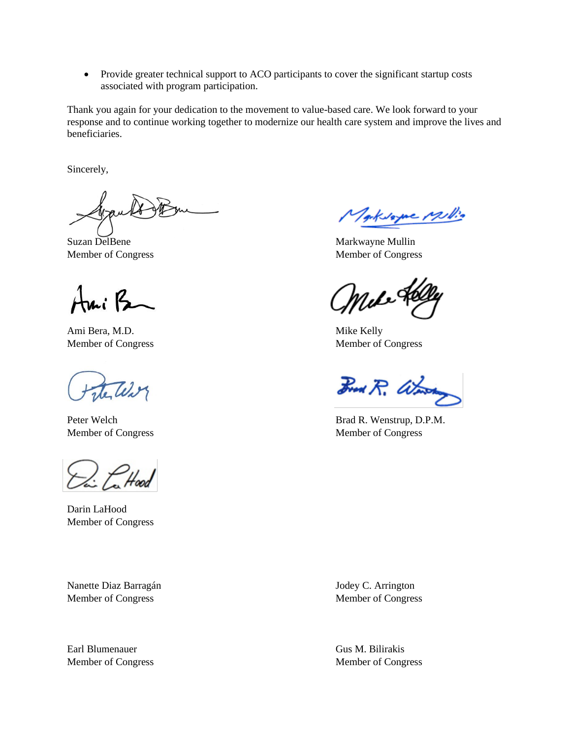• Provide greater technical support to ACO participants to cover the significant startup costs associated with program participation.

Thank you again for your dedication to the movement to value-based care. We look forward to your response and to continue working together to modernize our health care system and improve the lives and beneficiaries.

Sincerely,

Ami B

Ami Bera, M.D. Mike Kelly

Teler

 $\gtrsim$   $\mathcal{L}$  Hood

Darin LaHood Member of Congress

Nanette Diaz Barragán Jodey C. Arrington Member of Congress Member of Congress Member of Congress

Earl Blumenauer Gus M. Bilirakis

TackNome Millio

Suzan DelBene Markwayne Mullin Member of Congress Member of Congress

∕,

Member of Congress Member of Congress

Brad R. Work

Peter Welch Brad R. Wenstrup, D.P.M. Member of Congress Member of Congress Member of Congress

Member of Congress Member of Congress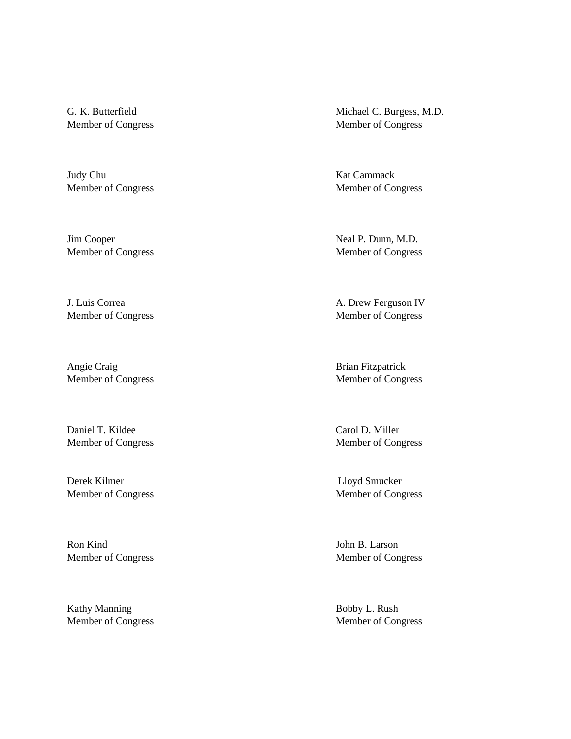Judy Chu Kat Cammack

Jim Cooper Neal P. Dunn, M.D. Member of Congress Member of Congress

Angie Craig Brian Fitzpatrick

Daniel T. Kildee Carol D. Miller

Derek Kilmer Lloyd Smucker Member of Congress Member of Congress

Ron Kind John B. Larson Member of Congress Member of Congress

Kathy Manning Bobby L. Rush Member of Congress Member of Congress

G. K. Butterfield Michael C. Burgess, M.D. Member of Congress Member of Congress

Member of Congress Member of Congress

J. Luis Correa A. Drew Ferguson IV Member of Congress Member of Congress

Member of Congress Member of Congress

Member of Congress Member of Congress